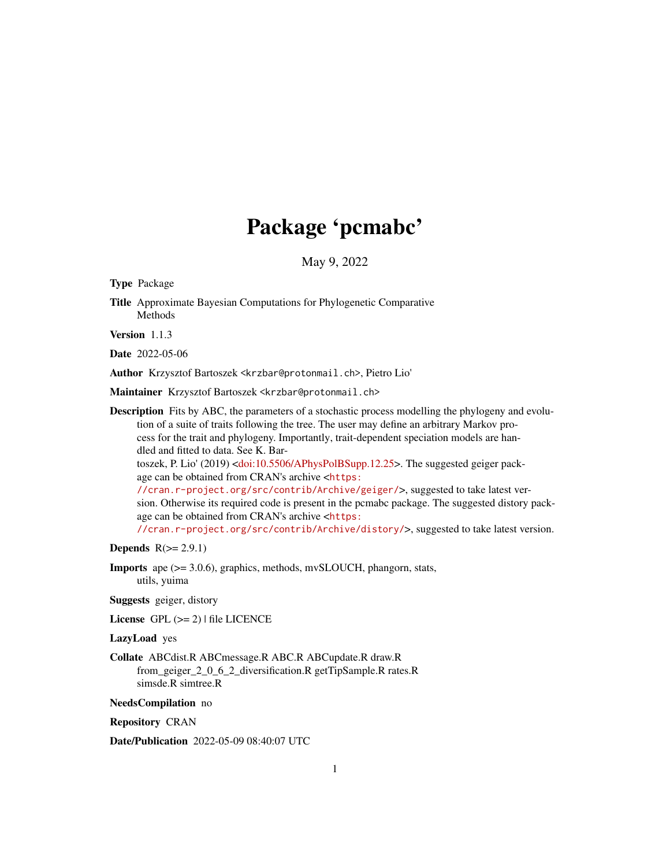## Package 'pcmabc'

May 9, 2022

<span id="page-0-0"></span>Type Package

Title Approximate Bayesian Computations for Phylogenetic Comparative Methods

Version 1.1.3

Date 2022-05-06

Author Krzysztof Bartoszek <krzbar@protonmail.ch>, Pietro Lio'

Maintainer Krzysztof Bartoszek <krzbar@protonmail.ch>

Description Fits by ABC, the parameters of a stochastic process modelling the phylogeny and evolution of a suite of traits following the tree. The user may define an arbitrary Markov process for the trait and phylogeny. Importantly, trait-dependent speciation models are handled and fitted to data. See K. Bartoszek, P. Lio' (2019) [<doi:10.5506/APhysPolBSupp.12.25>](https://doi.org/10.5506/APhysPolBSupp.12.25). The suggested geiger package can be obtained from CRAN's archive <[https:](https://cran.r-project.org/src/contrib/Archive/geiger/) [//cran.r-project.org/src/contrib/Archive/geiger/](https://cran.r-project.org/src/contrib/Archive/geiger/)>, suggested to take latest ver-

sion. Otherwise its required code is present in the pcmabc package. The suggested distory package can be obtained from CRAN's archive <[https:](https://cran.r-project.org/src/contrib/Archive/distory/)

[//cran.r-project.org/src/contrib/Archive/distory/](https://cran.r-project.org/src/contrib/Archive/distory/)>, suggested to take latest version.

Depends  $R(>= 2.9.1)$ 

Imports ape (>= 3.0.6), graphics, methods, mvSLOUCH, phangorn, stats, utils, yuima

Suggests geiger, distory

License GPL  $(>= 2)$  | file LICENCE

#### LazyLoad yes

Collate ABCdist.R ABCmessage.R ABC.R ABCupdate.R draw.R from geiger 2 0 6 2 diversification.R getTipSample.R rates.R simsde.R simtree.R

NeedsCompilation no

Repository CRAN

Date/Publication 2022-05-09 08:40:07 UTC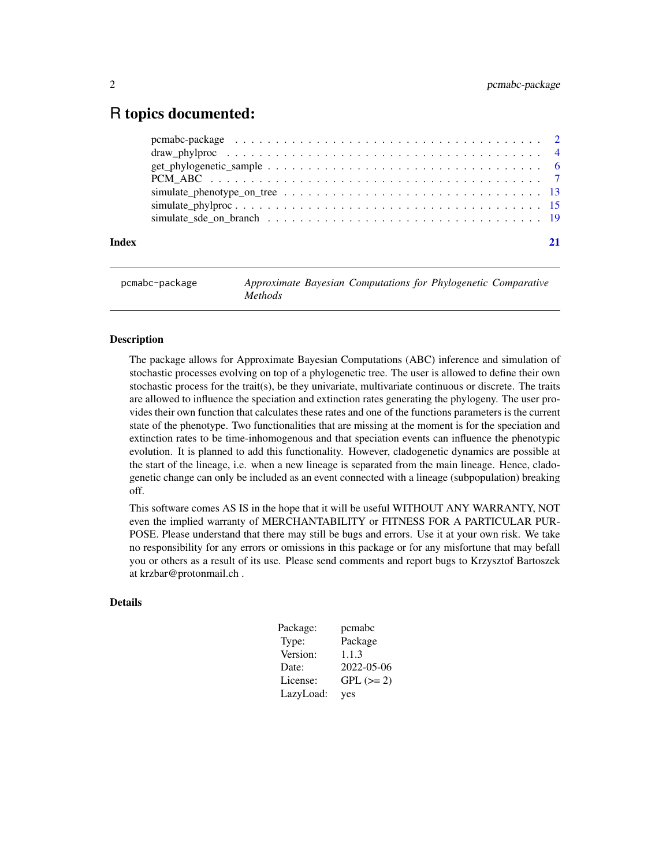## <span id="page-1-0"></span>R topics documented:

| Index |  |
|-------|--|
|       |  |
|       |  |
|       |  |
|       |  |
|       |  |
|       |  |
|       |  |

## pcmabc-package *Approximate Bayesian Computations for Phylogenetic Comparative Methods*

#### **Description**

The package allows for Approximate Bayesian Computations (ABC) inference and simulation of stochastic processes evolving on top of a phylogenetic tree. The user is allowed to define their own stochastic process for the trait(s), be they univariate, multivariate continuous or discrete. The traits are allowed to influence the speciation and extinction rates generating the phylogeny. The user provides their own function that calculates these rates and one of the functions parameters is the current state of the phenotype. Two functionalities that are missing at the moment is for the speciation and extinction rates to be time-inhomogenous and that speciation events can influence the phenotypic evolution. It is planned to add this functionality. However, cladogenetic dynamics are possible at the start of the lineage, i.e. when a new lineage is separated from the main lineage. Hence, cladogenetic change can only be included as an event connected with a lineage (subpopulation) breaking off.

This software comes AS IS in the hope that it will be useful WITHOUT ANY WARRANTY, NOT even the implied warranty of MERCHANTABILITY or FITNESS FOR A PARTICULAR PUR-POSE. Please understand that there may still be bugs and errors. Use it at your own risk. We take no responsibility for any errors or omissions in this package or for any misfortune that may befall you or others as a result of its use. Please send comments and report bugs to Krzysztof Bartoszek at krzbar@protonmail.ch .

#### Details

| Package:  | pcmabc      |
|-----------|-------------|
| Type:     | Package     |
| Version:  | 1.1.3       |
| Date:     | 2022-05-06  |
| License:  | $GPL (= 2)$ |
| LazyLoad: | yes         |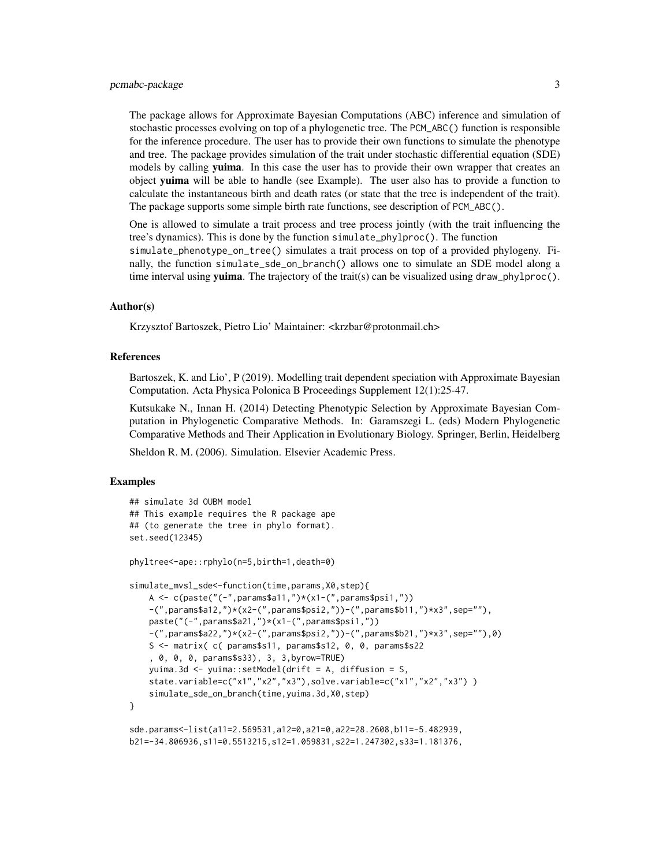#### pcmabc-package 3

The package allows for Approximate Bayesian Computations (ABC) inference and simulation of stochastic processes evolving on top of a phylogenetic tree. The PCM\_ABC() function is responsible for the inference procedure. The user has to provide their own functions to simulate the phenotype and tree. The package provides simulation of the trait under stochastic differential equation (SDE) models by calling **yuima**. In this case the user has to provide their own wrapper that creates an object yuima will be able to handle (see Example). The user also has to provide a function to calculate the instantaneous birth and death rates (or state that the tree is independent of the trait). The package supports some simple birth rate functions, see description of PCM\_ABC().

One is allowed to simulate a trait process and tree process jointly (with the trait influencing the tree's dynamics). This is done by the function simulate\_phylproc(). The function simulate\_phenotype\_on\_tree() simulates a trait process on top of a provided phylogeny. Finally, the function simulate\_sde\_on\_branch() allows one to simulate an SDE model along a time interval using yuima. The trajectory of the trait(s) can be visualized using draw\_phylproc().

#### Author(s)

Krzysztof Bartoszek, Pietro Lio' Maintainer: <krzbar@protonmail.ch>

#### References

Bartoszek, K. and Lio', P (2019). Modelling trait dependent speciation with Approximate Bayesian Computation. Acta Physica Polonica B Proceedings Supplement 12(1):25-47.

Kutsukake N., Innan H. (2014) Detecting Phenotypic Selection by Approximate Bayesian Computation in Phylogenetic Comparative Methods. In: Garamszegi L. (eds) Modern Phylogenetic Comparative Methods and Their Application in Evolutionary Biology. Springer, Berlin, Heidelberg

Sheldon R. M. (2006). Simulation. Elsevier Academic Press.

#### Examples

```
## simulate 3d OUBM model
## This example requires the R package ape
## (to generate the tree in phylo format).
set.seed(12345)
phyltree<-ape::rphylo(n=5,birth=1,death=0)
simulate_mvsl_sde<-function(time,params,X0,step){
   A \leftarrow c(paste("(-",params$a11,")*(x1-(",params$psi1,"))
   -(",params$a12,")*(x2-(",params$psi2,"))-(",params$b11,")*x3",sep=""),
   paste("(-",params$a21,")*(x1-(",params$psi1,"))
    -(",params$a22,")*(x2-(",params$psi2,"))-(",params$b21,")*x3",sep=""),0)
    S <- matrix( c( params$s11, params$s12, 0, 0, params$s22
    , 0, 0, 0, params$s33), 3, 3,byrow=TRUE)
   yuima.3d <- yuima::setModel(drift = A, diffusion = S,
    state.variable=c("x1","x2","x3"),solve.variable=c("x1","x2","x3") )
    simulate_sde_on_branch(time,yuima.3d,X0,step)
}
sde.params<-list(a11=2.569531,a12=0,a21=0,a22=28.2608,b11=-5.482939,
b21=-34.806936,s11=0.5513215,s12=1.059831,s22=1.247302,s33=1.181376,
```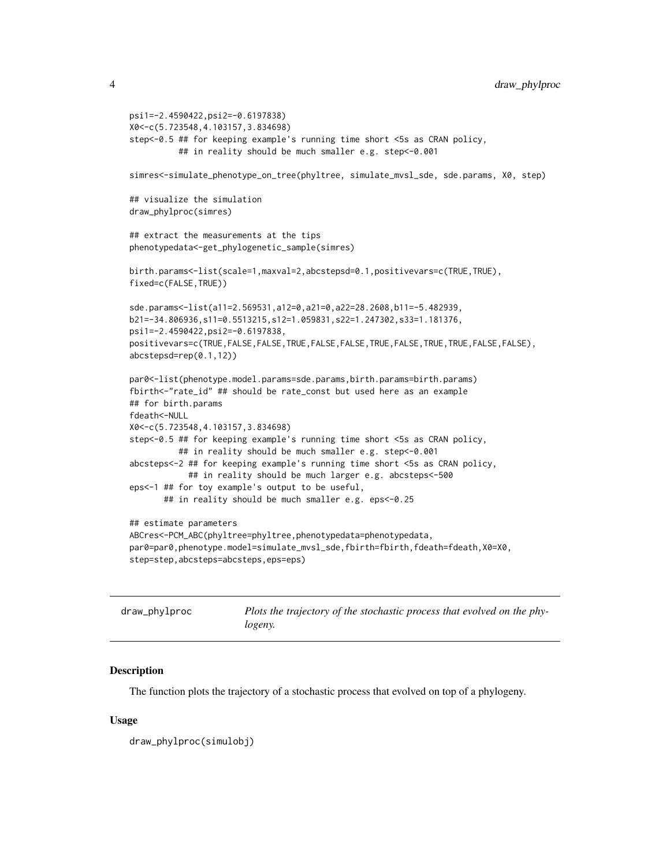```
psi1=-2.4590422,psi2=-0.6197838)
X0<-c(5.723548,4.103157,3.834698)
step<-0.5 ## for keeping example's running time short <5s as CRAN policy,
          ## in reality should be much smaller e.g. step<-0.001
simres<-simulate_phenotype_on_tree(phyltree, simulate_mvsl_sde, sde.params, X0, step)
## visualize the simulation
draw_phylproc(simres)
## extract the measurements at the tips
phenotypedata<-get_phylogenetic_sample(simres)
birth.params<-list(scale=1,maxval=2,abcstepsd=0.1,positivevars=c(TRUE,TRUE),
fixed=c(FALSE,TRUE))
sde.params<-list(a11=2.569531,a12=0,a21=0,a22=28.2608,b11=-5.482939,
b21=-34.806936,s11=0.5513215,s12=1.059831,s22=1.247302,s33=1.181376,
psi1=-2.4590422,psi2=-0.6197838,
positivevars=c(TRUE,FALSE,FALSE,TRUE,FALSE,FALSE,TRUE,FALSE,TRUE,TRUE,FALSE,FALSE),
abcstepsd=rep(0.1,12))
par0<-list(phenotype.model.params=sde.params,birth.params=birth.params)
fbirth<-"rate_id" ## should be rate_const but used here as an example
## for birth.params
fdeath<-NULL
X0<-c(5.723548,4.103157,3.834698)
step<-0.5 ## for keeping example's running time short <5s as CRAN policy,
          ## in reality should be much smaller e.g. step<-0.001
abcsteps<-2 ## for keeping example's running time short <5s as CRAN policy,
            ## in reality should be much larger e.g. abcsteps<-500
eps<-1 ## for toy example's output to be useful,
      ## in reality should be much smaller e.g. eps<-0.25
## estimate parameters
ABCres<-PCM_ABC(phyltree=phyltree,phenotypedata=phenotypedata,
par0=par0,phenotype.model=simulate_mvsl_sde,fbirth=fbirth,fdeath=fdeath,X0=X0,
step=step,abcsteps=abcsteps,eps=eps)
```

| draw_phylproc | Plots the trajectory of the stochastic process that evolved on the phy- |
|---------------|-------------------------------------------------------------------------|
|               | logeny.                                                                 |

#### **Description**

The function plots the trajectory of a stochastic process that evolved on top of a phylogeny.

#### Usage

```
draw_phylproc(simulobj)
```
<span id="page-3-0"></span>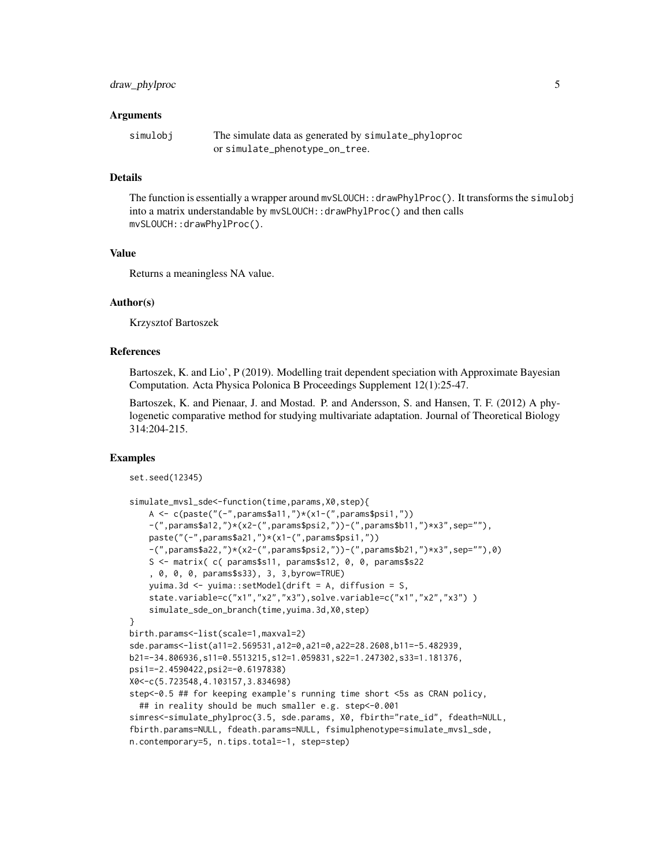#### draw\_phylproc 5

#### **Arguments**

| simulobj | The simulate data as generated by simulate_phyloproc |
|----------|------------------------------------------------------|
|          | orsimulate_phenotype_on_tree.                        |

#### Details

The function is essentially a wrapper around mvSLOUCH: : drawPhylProc(). It transforms the simulobj into a matrix understandable by mvSLOUCH::drawPhylProc() and then calls mvSLOUCH::drawPhylProc().

#### Value

Returns a meaningless NA value.

#### Author(s)

Krzysztof Bartoszek

#### References

Bartoszek, K. and Lio', P (2019). Modelling trait dependent speciation with Approximate Bayesian Computation. Acta Physica Polonica B Proceedings Supplement 12(1):25-47.

Bartoszek, K. and Pienaar, J. and Mostad. P. and Andersson, S. and Hansen, T. F. (2012) A phylogenetic comparative method for studying multivariate adaptation. Journal of Theoretical Biology 314:204-215.

#### Examples

```
set.seed(12345)
```

```
simulate_mvsl_sde<-function(time,params,X0,step){
    A \leq c(paste("(-",params$a11,")*(x1-(",params$psi1,"))
    -(",params$a12,")*(x2-(",params$psi2,"))-(",params$b11,")*x3",sep=""),
    paste("(-",params$a21,")*(x1-(",params$psi1,"))
    -(",params$a22,")*(x2-(",params$psi2,"))-(",params$b21,")*x3",sep=""),0)
    S <- matrix( c( params$s11, params$s12, 0, 0, params$s22
    , 0, 0, 0, params$s33), 3, 3,byrow=TRUE)
    yuima.3d <- yuima::setModel(drift = A, diffusion = S,
    state.variable=c("x1","x2","x3"),solve.variable=c("x1","x2","x3") )
    simulate_sde_on_branch(time,yuima.3d,X0,step)
}
birth.params<-list(scale=1,maxval=2)
sde.params<-list(a11=2.569531,a12=0,a21=0,a22=28.2608,b11=-5.482939,
b21=-34.806936,s11=0.5513215,s12=1.059831,s22=1.247302,s33=1.181376,
psi1=-2.4590422,psi2=-0.6197838)
X0<-c(5.723548,4.103157,3.834698)
step<-0.5 ## for keeping example's running time short <5s as CRAN policy,
  ## in reality should be much smaller e.g. step<-0.001
simres<-simulate_phylproc(3.5, sde.params, X0, fbirth="rate_id", fdeath=NULL,
fbirth.params=NULL, fdeath.params=NULL, fsimulphenotype=simulate_mvsl_sde,
n.contemporary=5, n.tips.total=-1, step=step)
```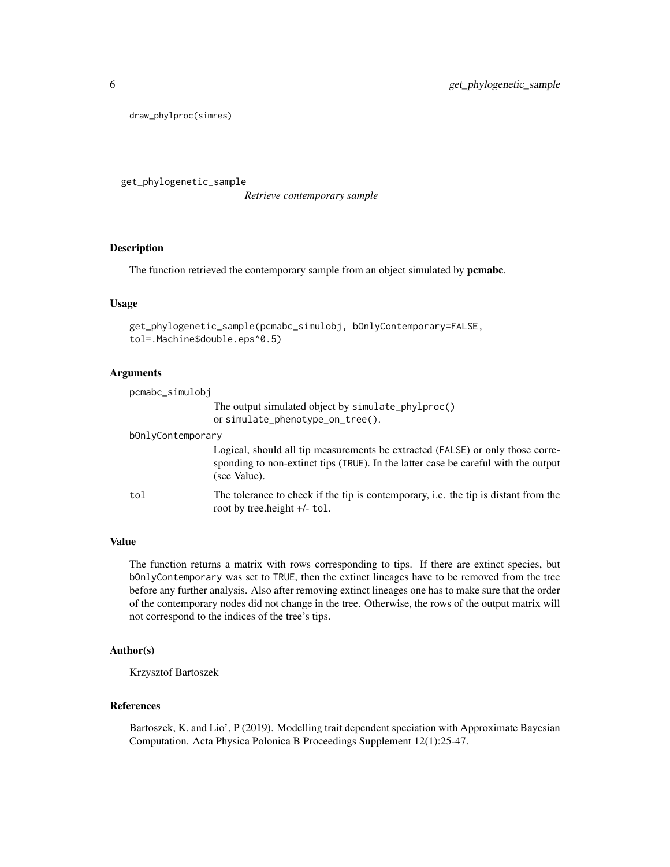<span id="page-5-0"></span>draw\_phylproc(simres)

get\_phylogenetic\_sample

*Retrieve contemporary sample*

#### Description

The function retrieved the contemporary sample from an object simulated by **pcmabc**.

#### Usage

```
get_phylogenetic_sample(pcmabc_simulobj, bOnlyContemporary=FALSE,
tol=.Machine$double.eps^0.5)
```
#### Arguments

| pcmabc_simulobj   |                                                                                                                                                                                      |
|-------------------|--------------------------------------------------------------------------------------------------------------------------------------------------------------------------------------|
|                   | The output simulated object by simulate_phylproc()<br>or simulate_phenotype_on_tree().                                                                                               |
| bOnlyContemporary |                                                                                                                                                                                      |
|                   | Logical, should all tip measurements be extracted (FALSE) or only those corre-<br>sponding to non-extinct tips (TRUE). In the latter case be careful with the output<br>(see Value). |
| tol               | The tolerance to check if the tip is contemporary, i.e. the tip is distant from the<br>root by tree.height +/- tol.                                                                  |

#### Value

The function returns a matrix with rows corresponding to tips. If there are extinct species, but bOnlyContemporary was set to TRUE, then the extinct lineages have to be removed from the tree before any further analysis. Also after removing extinct lineages one has to make sure that the order of the contemporary nodes did not change in the tree. Otherwise, the rows of the output matrix will not correspond to the indices of the tree's tips.

#### Author(s)

Krzysztof Bartoszek

#### References

Bartoszek, K. and Lio', P (2019). Modelling trait dependent speciation with Approximate Bayesian Computation. Acta Physica Polonica B Proceedings Supplement 12(1):25-47.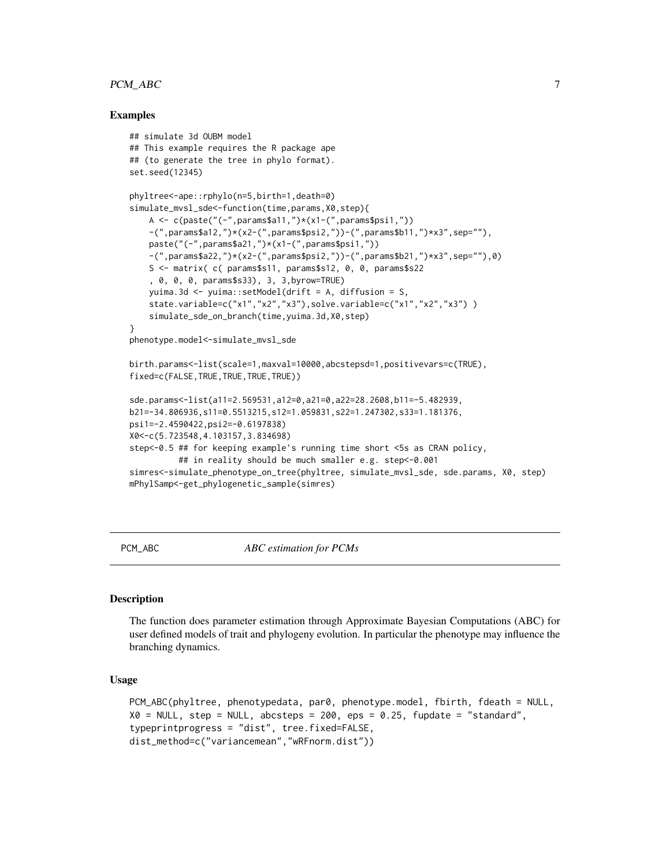#### <span id="page-6-0"></span>PCM\_ABC 7

#### Examples

```
## simulate 3d OUBM model
## This example requires the R package ape
## (to generate the tree in phylo format).
set.seed(12345)
phyltree<-ape::rphylo(n=5,birth=1,death=0)
simulate_mvsl_sde<-function(time,params,X0,step){
    A \leq c(paste("(-",params$a11,")*(x1-(",params$psi1,"))
    -(",params$a12,")*(x2-(",params$psi2,"))-(",params$b11,")*x3",sep=""),
    paste("(-",params$a21,")*(x1-(",params$psi1,"))
    -(",params$a22,")*(x2-(",params$psi2,"))-(",params$b21,")*x3",sep=""),0)
    S <- matrix( c( params$s11, params$s12, 0, 0, params$s22
    , 0, 0, 0, params$s33), 3, 3,byrow=TRUE)
   yuima.3d <- yuima::setModel(drift = A, diffusion = S,
    state.variable=c("x1","x2","x3"),solve.variable=c("x1","x2","x3") )
    simulate_sde_on_branch(time,yuima.3d,X0,step)
}
phenotype.model<-simulate_mvsl_sde
birth.params<-list(scale=1,maxval=10000,abcstepsd=1,positivevars=c(TRUE),
fixed=c(FALSE,TRUE,TRUE,TRUE,TRUE))
sde.params<-list(a11=2.569531,a12=0,a21=0,a22=28.2608,b11=-5.482939,
b21=-34.806936,s11=0.5513215,s12=1.059831,s22=1.247302,s33=1.181376,
psi1=-2.4590422,psi2=-0.6197838)
X0<-c(5.723548,4.103157,3.834698)
step<-0.5 ## for keeping example's running time short <5s as CRAN policy,
          ## in reality should be much smaller e.g. step<-0.001
simres<-simulate_phenotype_on_tree(phyltree, simulate_mvsl_sde, sde.params, X0, step)
mPhylSamp<-get_phylogenetic_sample(simres)
```
<span id="page-6-1"></span>PCM\_ABC *ABC estimation for PCMs*

#### Description

The function does parameter estimation through Approximate Bayesian Computations (ABC) for user defined models of trait and phylogeny evolution. In particular the phenotype may influence the branching dynamics.

#### Usage

```
PCM_ABC(phyltree, phenotypedata, par0, phenotype.model, fbirth, fdeath = NULL,
X0 = NULL, step = NULL, abcsteps = 200, eps = 0.25, fupdate = "standard",
typeprintprogress = "dist", tree.fixed=FALSE,
dist_method=c("variancemean","wRFnorm.dist"))
```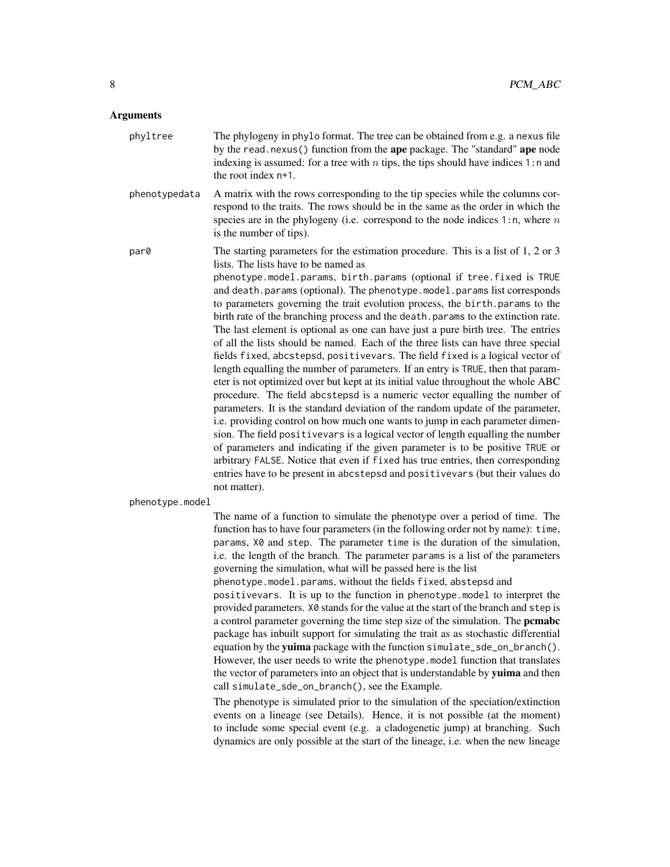#### **Arguments**

| phyltree        | The phylogeny in phylo format. The tree can be obtained from e.g. a nexus file<br>by the read.nexus() function from the ape package. The "standard" ape node<br>indexing is assumed: for a tree with $n$ tips, the tips should have indices 1:n and<br>the root index $n+1$ .                                                                                                                                                                                                                                                                                                                                                                                                                                                                                                                                                                                                                                                                                                                                                                                                                                                                                                                                                                                                                                                                                                                                                                                                                      |
|-----------------|----------------------------------------------------------------------------------------------------------------------------------------------------------------------------------------------------------------------------------------------------------------------------------------------------------------------------------------------------------------------------------------------------------------------------------------------------------------------------------------------------------------------------------------------------------------------------------------------------------------------------------------------------------------------------------------------------------------------------------------------------------------------------------------------------------------------------------------------------------------------------------------------------------------------------------------------------------------------------------------------------------------------------------------------------------------------------------------------------------------------------------------------------------------------------------------------------------------------------------------------------------------------------------------------------------------------------------------------------------------------------------------------------------------------------------------------------------------------------------------------------|
| phenotypedata   | A matrix with the rows corresponding to the tip species while the columns cor-<br>respond to the traits. The rows should be in the same as the order in which the<br>species are in the phylogeny (i.e. correspond to the node indices 1:n, where $n$<br>is the number of tips).                                                                                                                                                                                                                                                                                                                                                                                                                                                                                                                                                                                                                                                                                                                                                                                                                                                                                                                                                                                                                                                                                                                                                                                                                   |
| par0            | The starting parameters for the estimation procedure. This is a list of $1, 2$ or $3$<br>lists. The lists have to be named as<br>phenotype.model.params, birth.params (optional if tree.fixed is TRUE<br>and death.params (optional). The phenotype.model.params list corresponds<br>to parameters governing the trait evolution process, the birth params to the<br>birth rate of the branching process and the death. params to the extinction rate.<br>The last element is optional as one can have just a pure birth tree. The entries<br>of all the lists should be named. Each of the three lists can have three special<br>fields fixed, abcstepsd, positivevars. The field fixed is a logical vector of<br>length equalling the number of parameters. If an entry is TRUE, then that param-<br>eter is not optimized over but kept at its initial value throughout the whole ABC<br>procedure. The field abcstepsd is a numeric vector equalling the number of<br>parameters. It is the standard deviation of the random update of the parameter,<br>i.e. providing control on how much one wants to jump in each parameter dimen-<br>sion. The field positivevars is a logical vector of length equalling the number<br>of parameters and indicating if the given parameter is to be positive TRUE or<br>arbitrary FALSE. Notice that even if fixed has true entries, then corresponding<br>entries have to be present in abcstepsd and positivevars (but their values do<br>not matter). |
| phenotype.model |                                                                                                                                                                                                                                                                                                                                                                                                                                                                                                                                                                                                                                                                                                                                                                                                                                                                                                                                                                                                                                                                                                                                                                                                                                                                                                                                                                                                                                                                                                    |
|                 | The name of a function to simulate the phenotype over a period of time. The<br>function has to have four parameters (in the following order not by name): time,<br>parame X0 and step. The parameter time is the duration of the simulation                                                                                                                                                                                                                                                                                                                                                                                                                                                                                                                                                                                                                                                                                                                                                                                                                                                                                                                                                                                                                                                                                                                                                                                                                                                        |

params, X0 and step. The parameter time is the duration of the simulation, i.e. the length of the branch. The parameter params is a list of the parameters governing the simulation, what will be passed here is the list phenotype.model.params, without the fields fixed, abstepsd and positivevars. It is up to the function in phenotype.model to interpret the provided parameters. X0 stands for the value at the start of the branch and step is a control parameter governing the time step size of the simulation. The pcmabc package has inbuilt support for simulating the trait as as stochastic differential equation by the yuima package with the function simulate\_sde\_on\_branch(). However, the user needs to write the phenotype.model function that translates the vector of parameters into an object that is understandable by yuima and then call simulate\_sde\_on\_branch(), see the Example.

The phenotype is simulated prior to the simulation of the speciation/extinction events on a lineage (see Details). Hence, it is not possible (at the moment) to include some special event (e.g. a cladogenetic jump) at branching. Such dynamics are only possible at the start of the lineage, i.e. when the new lineage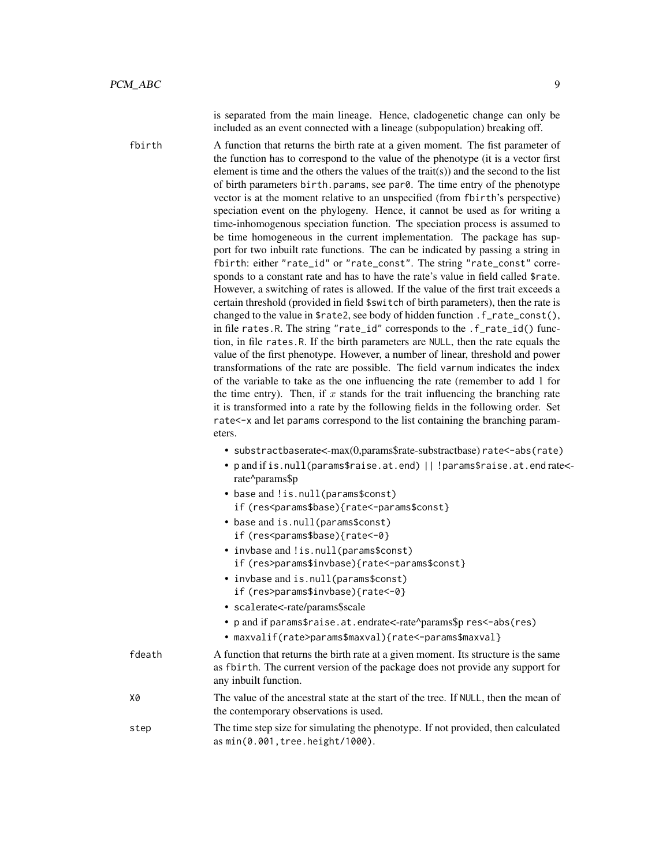is separated from the main lineage. Hence, cladogenetic change can only be included as an event connected with a lineage (subpopulation) breaking off.

fbirth A function that returns the birth rate at a given moment. The fist parameter of the function has to correspond to the value of the phenotype (it is a vector first element is time and the others the values of the trait(s)) and the second to the list of birth parameters birth.params, see par0. The time entry of the phenotype vector is at the moment relative to an unspecified (from fbirth's perspective) speciation event on the phylogeny. Hence, it cannot be used as for writing a time-inhomogenous speciation function. The speciation process is assumed to be time homogeneous in the current implementation. The package has support for two inbuilt rate functions. The can be indicated by passing a string in fbirth: either "rate\_id" or "rate\_const". The string "rate\_const" corresponds to a constant rate and has to have the rate's value in field called \$rate. However, a switching of rates is allowed. If the value of the first trait exceeds a certain threshold (provided in field \$switch of birth parameters), then the rate is changed to the value in \$rate2, see body of hidden function .f\_rate\_const(), in file rates.R. The string "rate\_id" corresponds to the .f\_rate\_id() function, in file rates.R. If the birth parameters are NULL, then the rate equals the value of the first phenotype. However, a number of linear, threshold and power transformations of the rate are possible. The field varnum indicates the index of the variable to take as the one influencing the rate (remember to add 1 for the time entry). Then, if  $x$  stands for the trait influencing the branching rate it is transformed into a rate by the following fields in the following order. Set rate<-x and let params correspond to the list containing the branching parameters.

- substractbaserate<-max(0,params\$rate-substractbase) rate<-abs(rate)
- p and if is.null(params\$raise.at.end) || !params\$raise.at.end rate< rate^params\$p
- base and !is.null(params\$const) if (res<params\$base){rate<-params\$const}
- base and is.null(params\$const) if (res<params\$base){rate<-0}
- invbase and !is.null(params\$const) if (res>params\$invbase){rate<-params\$const}
- invbase and is.null(params\$const) if (res>params\$invbase){rate<-0}
- scalerate<-rate/params\$scale
- p and if params\$raise.at.endrate<-rate^params\$p res<-abs(res)
- maxvalif(rate>params\$maxval){rate<-params\$maxval}

| A function that returns the birth rate at a given moment. Its structure is the same |
|-------------------------------------------------------------------------------------|
| as f birth. The current version of the package does not provide any support for     |
| any inbuilt function.                                                               |
|                                                                                     |

- X0 The value of the ancestral state at the start of the tree. If NULL, then the mean of the contemporary observations is used.
- step The time step size for simulating the phenotype. If not provided, then calculated as min(0.001,tree.height/1000).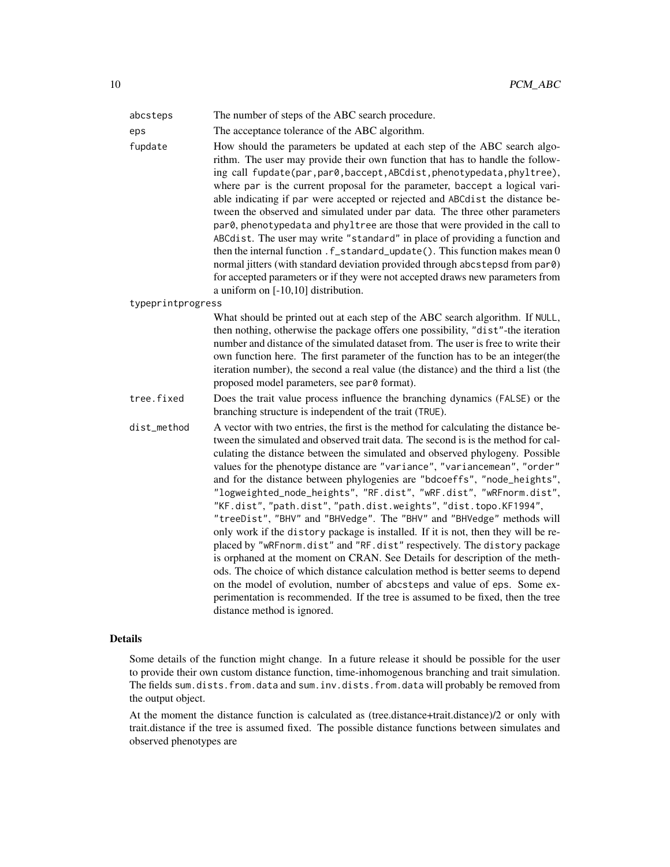| abcsteps          | The number of steps of the ABC search procedure.                                                                                                                                                                                                                                                                                                                                                                                                                                                                                                                                                                                                                                                                                                                                                                                                                                                                                                                                                                                                                                                                                                                      |
|-------------------|-----------------------------------------------------------------------------------------------------------------------------------------------------------------------------------------------------------------------------------------------------------------------------------------------------------------------------------------------------------------------------------------------------------------------------------------------------------------------------------------------------------------------------------------------------------------------------------------------------------------------------------------------------------------------------------------------------------------------------------------------------------------------------------------------------------------------------------------------------------------------------------------------------------------------------------------------------------------------------------------------------------------------------------------------------------------------------------------------------------------------------------------------------------------------|
| eps               | The acceptance tolerance of the ABC algorithm.                                                                                                                                                                                                                                                                                                                                                                                                                                                                                                                                                                                                                                                                                                                                                                                                                                                                                                                                                                                                                                                                                                                        |
| fupdate           | How should the parameters be updated at each step of the ABC search algo-<br>rithm. The user may provide their own function that has to handle the follow-<br>ing call fupdate(par, par0, baccept, ABCdist, phenotypedata, phyltree),<br>where par is the current proposal for the parameter, baccept a logical vari-<br>able indicating if par were accepted or rejected and ABCdist the distance be-<br>tween the observed and simulated under par data. The three other parameters<br>par0, phenotypedata and phyltree are those that were provided in the call to<br>ABCdist. The user may write "standard" in place of providing a function and<br>then the internal function . f_standard_update(). This function makes mean 0<br>normal jitters (with standard deviation provided through abcstepsd from par0)<br>for accepted parameters or if they were not accepted draws new parameters from<br>a uniform on [-10,10] distribution.                                                                                                                                                                                                                        |
| typeprintprogress |                                                                                                                                                                                                                                                                                                                                                                                                                                                                                                                                                                                                                                                                                                                                                                                                                                                                                                                                                                                                                                                                                                                                                                       |
|                   | What should be printed out at each step of the ABC search algorithm. If NULL,<br>then nothing, otherwise the package offers one possibility, "dist"-the iteration<br>number and distance of the simulated dataset from. The user is free to write their<br>own function here. The first parameter of the function has to be an integer (the<br>iteration number), the second a real value (the distance) and the third a list (the<br>proposed model parameters, see par0 format).                                                                                                                                                                                                                                                                                                                                                                                                                                                                                                                                                                                                                                                                                    |
| tree.fixed        | Does the trait value process influence the branching dynamics (FALSE) or the<br>branching structure is independent of the trait (TRUE).                                                                                                                                                                                                                                                                                                                                                                                                                                                                                                                                                                                                                                                                                                                                                                                                                                                                                                                                                                                                                               |
| dist_method       | A vector with two entries, the first is the method for calculating the distance be-<br>tween the simulated and observed trait data. The second is is the method for cal-<br>culating the distance between the simulated and observed phylogeny. Possible<br>values for the phenotype distance are "variance", "variancemean", "order"<br>and for the distance between phylogenies are "bdcoeffs", "node_heights",<br>"logweighted_node_heights", "RF.dist", "wRF.dist", "wRFnorm.dist",<br>"KF.dist", "path.dist", "path.dist.weights", "dist.topo.KF1994",<br>"treeDist", "BHV" and "BHVedge". The "BHV" and "BHVedge" methods will<br>only work if the distory package is installed. If it is not, then they will be re-<br>placed by "wRFnorm.dist" and "RF.dist" respectively. The distory package<br>is orphaned at the moment on CRAN. See Details for description of the meth-<br>ods. The choice of which distance calculation method is better seems to depend<br>on the model of evolution, number of abcsteps and value of eps. Some ex-<br>perimentation is recommended. If the tree is assumed to be fixed, then the tree<br>distance method is ignored. |

#### Details

Some details of the function might change. In a future release it should be possible for the user to provide their own custom distance function, time-inhomogenous branching and trait simulation. The fields sum.dists.from.data and sum.inv.dists.from.data will probably be removed from the output object.

At the moment the distance function is calculated as (tree.distance+trait.distance)/2 or only with trait.distance if the tree is assumed fixed. The possible distance functions between simulates and observed phenotypes are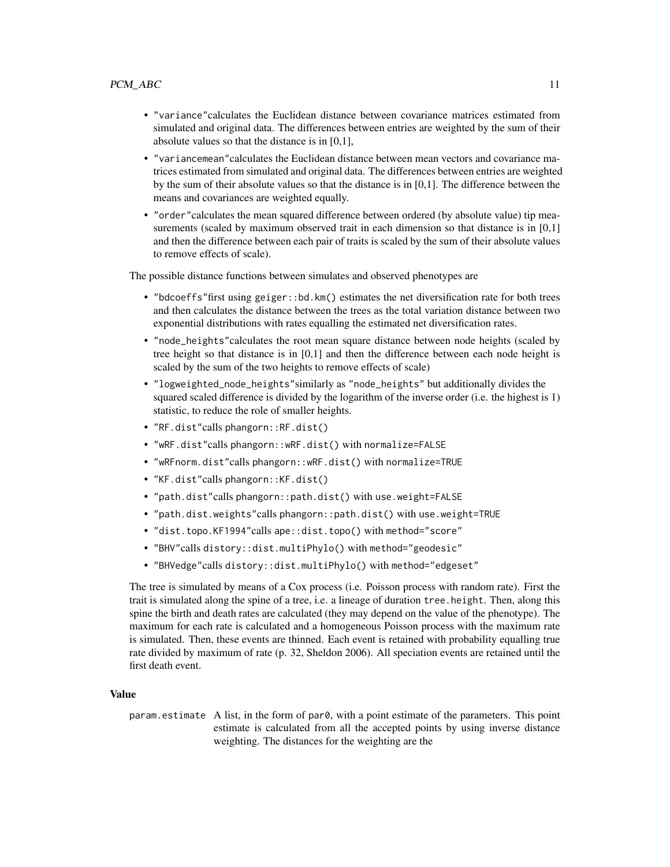- "variance"calculates the Euclidean distance between covariance matrices estimated from simulated and original data. The differences between entries are weighted by the sum of their absolute values so that the distance is in [0,1],
- "variancemean"calculates the Euclidean distance between mean vectors and covariance matrices estimated from simulated and original data. The differences between entries are weighted by the sum of their absolute values so that the distance is in  $[0,1]$ . The difference between the means and covariances are weighted equally.
- "order"calculates the mean squared difference between ordered (by absolute value) tip measurements (scaled by maximum observed trait in each dimension so that distance is in [0,1] and then the difference between each pair of traits is scaled by the sum of their absolute values to remove effects of scale).

The possible distance functions between simulates and observed phenotypes are

- "bdcoeffs" first using geiger: :bd.km() estimates the net diversification rate for both trees and then calculates the distance between the trees as the total variation distance between two exponential distributions with rates equalling the estimated net diversification rates.
- "node\_heights"calculates the root mean square distance between node heights (scaled by tree height so that distance is in [0,1] and then the difference between each node height is scaled by the sum of the two heights to remove effects of scale)
- "logweighted\_node\_heights"similarly as "node\_heights" but additionally divides the squared scaled difference is divided by the logarithm of the inverse order (i.e. the highest is 1) statistic, to reduce the role of smaller heights.
- "RF.dist"calls phangorn::RF.dist()
- "wRF.dist"calls phangorn::wRF.dist() with normalize=FALSE
- "wRFnorm.dist"calls phangorn::wRF.dist() with normalize=TRUE
- "KF.dist"calls phangorn::KF.dist()
- "path.dist"calls phangorn::path.dist() with use.weight=FALSE
- "path.dist.weights"calls phangorn::path.dist() with use.weight=TRUE
- "dist.topo.KF1994"calls ape::dist.topo() with method="score"
- "BHV"calls distory::dist.multiPhylo() with method="geodesic"
- "BHVedge"calls distory::dist.multiPhylo() with method="edgeset"

The tree is simulated by means of a Cox process (i.e. Poisson process with random rate). First the trait is simulated along the spine of a tree, i.e. a lineage of duration tree.height. Then, along this spine the birth and death rates are calculated (they may depend on the value of the phenotype). The maximum for each rate is calculated and a homogeneous Poisson process with the maximum rate is simulated. Then, these events are thinned. Each event is retained with probability equalling true rate divided by maximum of rate (p. 32, Sheldon 2006). All speciation events are retained until the first death event.

#### Value

param.estimate A list, in the form of  $par0$ , with a point estimate of the parameters. This point estimate is calculated from all the accepted points by using inverse distance weighting. The distances for the weighting are the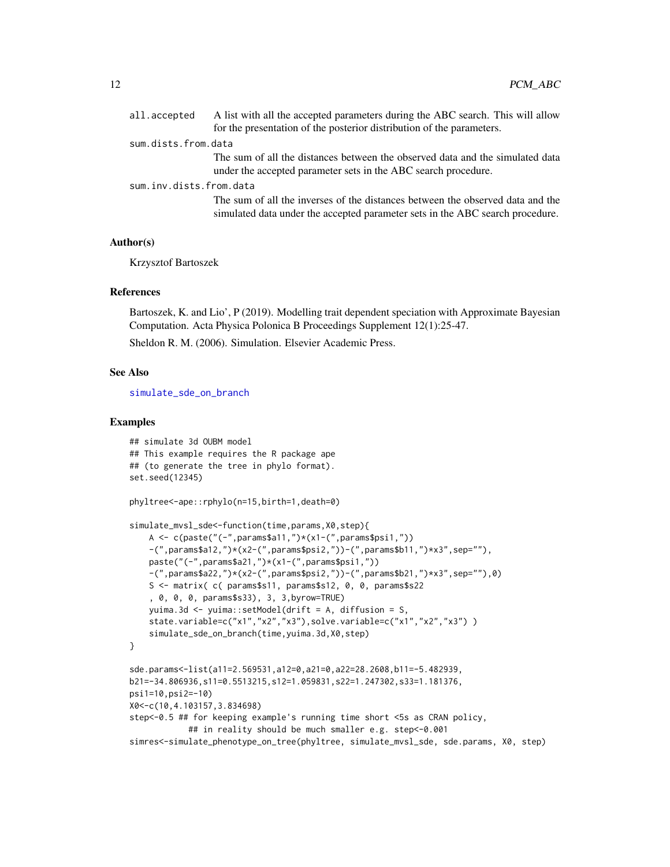<span id="page-11-0"></span>

|                         | all.accepted        | A list with all the accepted parameters during the ABC search. This will allow                                                                                  |
|-------------------------|---------------------|-----------------------------------------------------------------------------------------------------------------------------------------------------------------|
|                         |                     | for the presentation of the posterior distribution of the parameters.                                                                                           |
|                         | sum.dists.from.data |                                                                                                                                                                 |
|                         |                     | The sum of all the distances between the observed data and the simulated data<br>under the accepted parameter sets in the ABC search procedure.                 |
| sum.inv.dists.from.data |                     |                                                                                                                                                                 |
|                         |                     | The sum of all the inverses of the distances between the observed data and the<br>simulated data under the accepted parameter sets in the ABC search procedure. |

#### Author(s)

Krzysztof Bartoszek

#### References

Bartoszek, K. and Lio', P (2019). Modelling trait dependent speciation with Approximate Bayesian Computation. Acta Physica Polonica B Proceedings Supplement 12(1):25-47.

Sheldon R. M. (2006). Simulation. Elsevier Academic Press.

#### See Also

[simulate\\_sde\\_on\\_branch](#page-18-1)

#### Examples

```
## simulate 3d OUBM model
## This example requires the R package ape
## (to generate the tree in phylo format).
set.seed(12345)
phyltree<-ape::rphylo(n=15,birth=1,death=0)
simulate_mvsl_sde<-function(time,params,X0,step){
   A <- c(paste("(-",params$a11,")*(x1-(",params$psi1,"))
   -(",params$a12,")*(x2-(",params$psi2,"))-(",params$b11,")*x3",sep=""),
   paste("(-",params$a21,")*(x1-(",params$psi1,"))
    -(",params$a22,")*(x2-(",params$psi2,"))-(",params$b21,")*x3",sep=""),0)
    S <- matrix( c( params$s11, params$s12, 0, 0, params$s22
    , 0, 0, 0, params$s33), 3, 3,byrow=TRUE)
   yuima.3d <- yuima::setModel(drift = A, diffusion = S,
   state.variable=c("x1","x2","x3"),solve.variable=c("x1","x2","x3"))
    simulate_sde_on_branch(time,yuima.3d,X0,step)
}
sde.params<-list(a11=2.569531,a12=0,a21=0,a22=28.2608,b11=-5.482939,
b21=-34.806936,s11=0.5513215,s12=1.059831,s22=1.247302,s33=1.181376,
psi1=10,psi2=-10)
X0<-c(10,4.103157,3.834698)
step<-0.5 ## for keeping example's running time short <5s as CRAN policy,
            ## in reality should be much smaller e.g. step<-0.001
simres<-simulate_phenotype_on_tree(phyltree, simulate_mvsl_sde, sde.params, X0, step)
```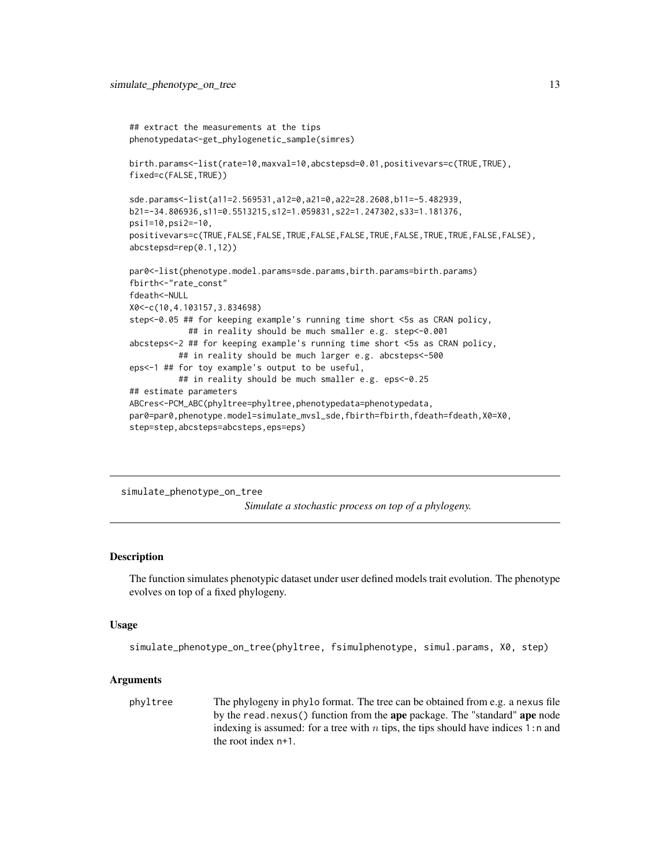```
## extract the measurements at the tips
phenotypedata<-get_phylogenetic_sample(simres)
birth.params<-list(rate=10,maxval=10,abcstepsd=0.01,positivevars=c(TRUE,TRUE),
fixed=c(FALSE,TRUE))
sde.params<-list(a11=2.569531,a12=0,a21=0,a22=28.2608,b11=-5.482939,
b21=-34.806936,s11=0.5513215,s12=1.059831,s22=1.247302,s33=1.181376,
psi1=10,psi2=-10,
positivevars=c(TRUE,FALSE,FALSE,TRUE,FALSE,FALSE,TRUE,FALSE,TRUE,TRUE,FALSE,FALSE),
abcstepsd=rep(0.1,12))
par0<-list(phenotype.model.params=sde.params,birth.params=birth.params)
fbirth<-"rate_const"
fdeath<-NULL
X0<-c(10,4.103157,3.834698)
step<-0.05 ## for keeping example's running time short <5s as CRAN policy,
            ## in reality should be much smaller e.g. step<-0.001
abcsteps<-2 ## for keeping example's running time short <5s as CRAN policy,
          ## in reality should be much larger e.g. abcsteps<-500
eps<-1 ## for toy example's output to be useful,
          ## in reality should be much smaller e.g. eps<-0.25
## estimate parameters
ABCres<-PCM_ABC(phyltree=phyltree,phenotypedata=phenotypedata,
par0=par0,phenotype.model=simulate_mvsl_sde,fbirth=fbirth,fdeath=fdeath,X0=X0,
step=step,abcsteps=abcsteps,eps=eps)
```
simulate\_phenotype\_on\_tree *Simulate a stochastic process on top of a phylogeny.*

#### Description

The function simulates phenotypic dataset under user defined models trait evolution. The phenotype evolves on top of a fixed phylogeny.

#### Usage

```
simulate_phenotype_on_tree(phyltree, fsimulphenotype, simul.params, X0, step)
```
#### Arguments

phyltree The phylogeny in phylo format. The tree can be obtained from e.g. a nexus file by the read.nexus() function from the ape package. The "standard" ape node indexing is assumed: for a tree with  $n$  tips, the tips should have indices 1:n and the root index n+1.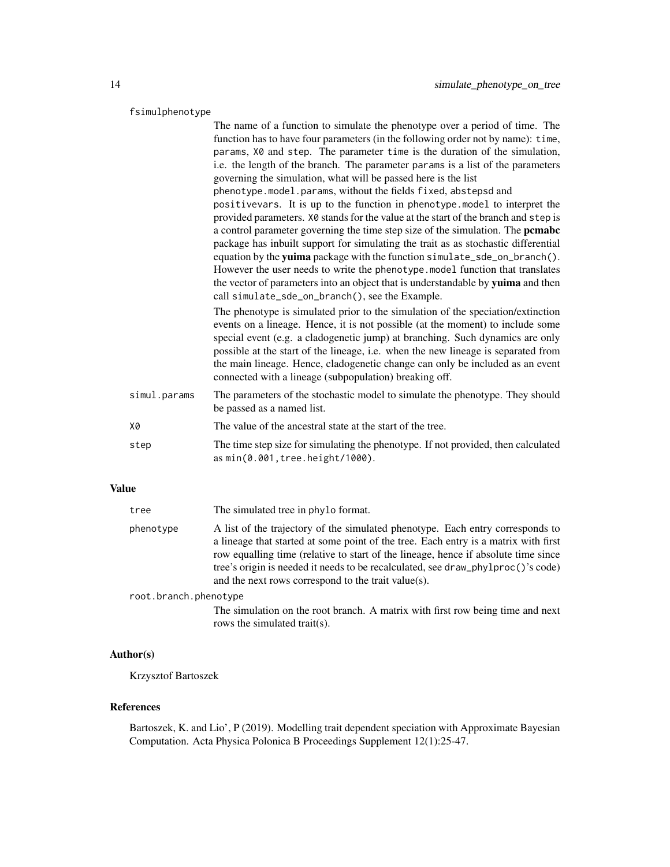#### fsimulphenotype

|              | The name of a function to simulate the phenotype over a period of time. The<br>function has to have four parameters (in the following order not by name): time,<br>params, X0 and step. The parameter time is the duration of the simulation,<br>i.e. the length of the branch. The parameter params is a list of the parameters<br>governing the simulation, what will be passed here is the list<br>phenotype.model.params, without the fields fixed, abstepsd and<br>positivevars. It is up to the function in phenotype. model to interpret the<br>provided parameters. X0 stands for the value at the start of the branch and step is<br>a control parameter governing the time step size of the simulation. The pemabe<br>package has inbuilt support for simulating the trait as as stochastic differential<br>equation by the yuima package with the function simulate_sde_on_branch(). |
|--------------|-------------------------------------------------------------------------------------------------------------------------------------------------------------------------------------------------------------------------------------------------------------------------------------------------------------------------------------------------------------------------------------------------------------------------------------------------------------------------------------------------------------------------------------------------------------------------------------------------------------------------------------------------------------------------------------------------------------------------------------------------------------------------------------------------------------------------------------------------------------------------------------------------|
|              | However the user needs to write the phenotype. model function that translates<br>the vector of parameters into an object that is understandable by yuima and then<br>call simulate_sde_on_branch(), see the Example.                                                                                                                                                                                                                                                                                                                                                                                                                                                                                                                                                                                                                                                                            |
|              | The phenotype is simulated prior to the simulation of the speciation/extinction<br>events on a lineage. Hence, it is not possible (at the moment) to include some<br>special event (e.g. a cladogenetic jump) at branching. Such dynamics are only<br>possible at the start of the lineage, i.e. when the new lineage is separated from<br>the main lineage. Hence, cladogenetic change can only be included as an event<br>connected with a lineage (subpopulation) breaking off.                                                                                                                                                                                                                                                                                                                                                                                                              |
| simul.params | The parameters of the stochastic model to simulate the phenotype. They should<br>be passed as a named list.                                                                                                                                                                                                                                                                                                                                                                                                                                                                                                                                                                                                                                                                                                                                                                                     |
| X0           | The value of the ancestral state at the start of the tree.                                                                                                                                                                                                                                                                                                                                                                                                                                                                                                                                                                                                                                                                                                                                                                                                                                      |
| step         | The time step size for simulating the phenotype. If not provided, then calculated<br>as min(0.001, tree.height/1000).                                                                                                                                                                                                                                                                                                                                                                                                                                                                                                                                                                                                                                                                                                                                                                           |
|              |                                                                                                                                                                                                                                                                                                                                                                                                                                                                                                                                                                                                                                                                                                                                                                                                                                                                                                 |

#### Value

| tree                  | The simulated tree in phylo format.                                                                                                                                                                                                                                                                                                                                                                    |
|-----------------------|--------------------------------------------------------------------------------------------------------------------------------------------------------------------------------------------------------------------------------------------------------------------------------------------------------------------------------------------------------------------------------------------------------|
| phenotype             | A list of the trajectory of the simulated phenotype. Each entry corresponds to<br>a lineage that started at some point of the tree. Each entry is a matrix with first<br>row equalling time (relative to start of the lineage, hence if absolute time since<br>tree's origin is needed it needs to be recalculated, see draw_phylproc()'s code)<br>and the next rows correspond to the trait value(s). |
| root.branch.phenotype |                                                                                                                                                                                                                                                                                                                                                                                                        |
|                       | The simulation on the root branch. A matrix with first row being time and next<br>rows the simulated trait(s).                                                                                                                                                                                                                                                                                         |

#### Author(s)

Krzysztof Bartoszek

#### References

Bartoszek, K. and Lio', P (2019). Modelling trait dependent speciation with Approximate Bayesian Computation. Acta Physica Polonica B Proceedings Supplement 12(1):25-47.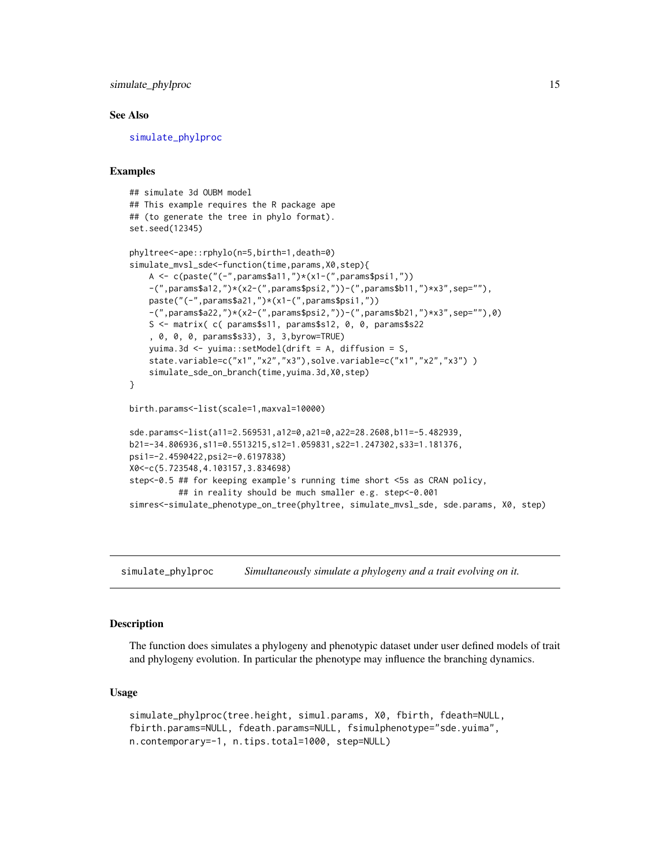<span id="page-14-0"></span>simulate\_phylproc 15

#### See Also

[simulate\\_phylproc](#page-14-1)

#### Examples

```
## simulate 3d OUBM model
## This example requires the R package ape
## (to generate the tree in phylo format).
set.seed(12345)
phyltree<-ape::rphylo(n=5,birth=1,death=0)
simulate_mvsl_sde<-function(time,params,X0,step){
   A <- c(paste("(-",params$a11,")*(x1-(",params$psi1,"))
    -(",params$a12,")*(x2-(",params$psi2,"))-(",params$b11,")*x3",sep=""),
   paste("(-",params$a21,")*(x1-(",params$psi1,"))
    -(",params$a22,")*(x2-(",params$psi2,"))-(",params$b21,")*x3",sep=""),0)
   S <- matrix( c( params$s11, params$s12, 0, 0, params$s22
    , 0, 0, 0, params$s33), 3, 3,byrow=TRUE)
   yuima.3d <- yuima::setModel(drift = A, diffusion = S,
    state.variable=c("x1","x2","x3"),solve.variable=c("x1","x2","x3"))
    simulate_sde_on_branch(time,yuima.3d,X0,step)
}
birth.params<-list(scale=1,maxval=10000)
sde.params<-list(a11=2.569531,a12=0,a21=0,a22=28.2608,b11=-5.482939,
b21=-34.806936,s11=0.5513215,s12=1.059831,s22=1.247302,s33=1.181376,
psi1=-2.4590422,psi2=-0.6197838)
X0<-c(5.723548,4.103157,3.834698)
step<-0.5 ## for keeping example's running time short <5s as CRAN policy,
          ## in reality should be much smaller e.g. step<-0.001
simres<-simulate_phenotype_on_tree(phyltree, simulate_mvsl_sde, sde.params, X0, step)
```
<span id="page-14-1"></span>simulate\_phylproc *Simultaneously simulate a phylogeny and a trait evolving on it.*

#### Description

The function does simulates a phylogeny and phenotypic dataset under user defined models of trait and phylogeny evolution. In particular the phenotype may influence the branching dynamics.

#### Usage

```
simulate_phylproc(tree.height, simul.params, X0, fbirth, fdeath=NULL,
fbirth.params=NULL, fdeath.params=NULL, fsimulphenotype="sde.yuima",
n.contemporary=-1, n.tips.total=1000, step=NULL)
```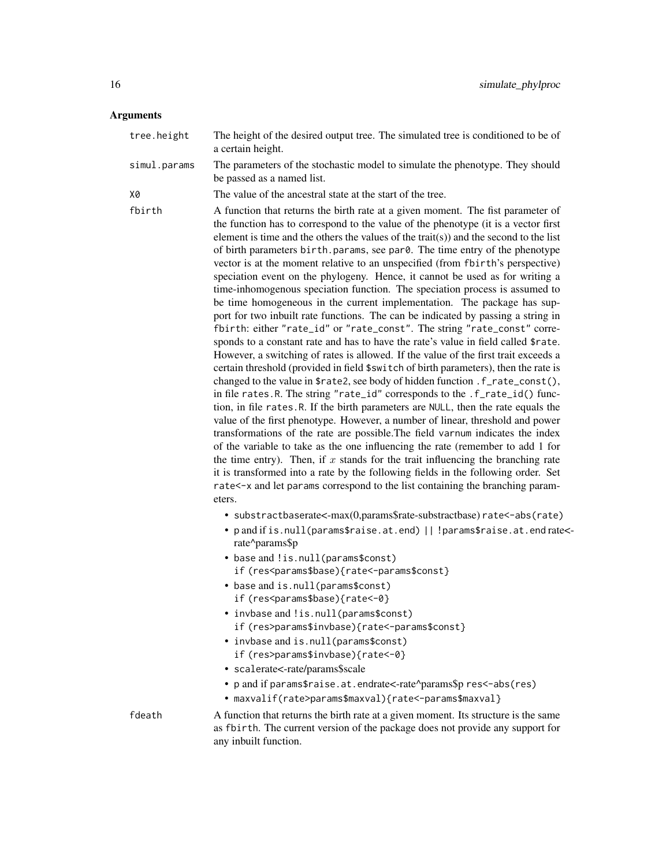### Arguments

| tree.height  | The height of the desired output tree. The simulated tree is conditioned to be of<br>a certain height.                                                                                                                                                                                                                                                                                                                                                                                                                                                                                                                                                                                                                                                                                                                                                                                                                                                                                                                                                                                                                                                                                                                                                                                                                                                                                                                                                                                                                                                                                                                                                                                                                                                                                                                                                                                           |
|--------------|--------------------------------------------------------------------------------------------------------------------------------------------------------------------------------------------------------------------------------------------------------------------------------------------------------------------------------------------------------------------------------------------------------------------------------------------------------------------------------------------------------------------------------------------------------------------------------------------------------------------------------------------------------------------------------------------------------------------------------------------------------------------------------------------------------------------------------------------------------------------------------------------------------------------------------------------------------------------------------------------------------------------------------------------------------------------------------------------------------------------------------------------------------------------------------------------------------------------------------------------------------------------------------------------------------------------------------------------------------------------------------------------------------------------------------------------------------------------------------------------------------------------------------------------------------------------------------------------------------------------------------------------------------------------------------------------------------------------------------------------------------------------------------------------------------------------------------------------------------------------------------------------------|
| simul.params | The parameters of the stochastic model to simulate the phenotype. They should<br>be passed as a named list.                                                                                                                                                                                                                                                                                                                                                                                                                                                                                                                                                                                                                                                                                                                                                                                                                                                                                                                                                                                                                                                                                                                                                                                                                                                                                                                                                                                                                                                                                                                                                                                                                                                                                                                                                                                      |
| Х0           | The value of the ancestral state at the start of the tree.                                                                                                                                                                                                                                                                                                                                                                                                                                                                                                                                                                                                                                                                                                                                                                                                                                                                                                                                                                                                                                                                                                                                                                                                                                                                                                                                                                                                                                                                                                                                                                                                                                                                                                                                                                                                                                       |
| fbirth       | A function that returns the birth rate at a given moment. The fist parameter of<br>the function has to correspond to the value of the phenotype (it is a vector first<br>element is time and the others the values of the trait(s)) and the second to the list<br>of birth parameters birth.params, see par0. The time entry of the phenotype<br>vector is at the moment relative to an unspecified (from fbirth's perspective)<br>speciation event on the phylogeny. Hence, it cannot be used as for writing a<br>time-inhomogenous speciation function. The speciation process is assumed to<br>be time homogeneous in the current implementation. The package has sup-<br>port for two inbuilt rate functions. The can be indicated by passing a string in<br>fbirth: either "rate_id" or "rate_const". The string "rate_const" corre-<br>sponds to a constant rate and has to have the rate's value in field called \$rate.<br>However, a switching of rates is allowed. If the value of the first trait exceeds a<br>certain threshold (provided in field \$switch of birth parameters), then the rate is<br>changed to the value in \$rate2, see body of hidden function .f_rate_const(),<br>in file rates. R. The string "rate_id" corresponds to the .f_rate_id() func-<br>tion, in file rates. R. If the birth parameters are NULL, then the rate equals the<br>value of the first phenotype. However, a number of linear, threshold and power<br>transformations of the rate are possible. The field varnum indicates the index<br>of the variable to take as the one influencing the rate (remember to add 1 for<br>the time entry). Then, if $x$ stands for the trait influencing the branching rate<br>it is transformed into a rate by the following fields in the following order. Set<br>rate<-x and let params correspond to the list containing the branching param-<br>eters. |
|              | • substractbaserate<-max(0,params\$rate-substractbase) rate<-abs(rate)                                                                                                                                                                                                                                                                                                                                                                                                                                                                                                                                                                                                                                                                                                                                                                                                                                                                                                                                                                                                                                                                                                                                                                                                                                                                                                                                                                                                                                                                                                                                                                                                                                                                                                                                                                                                                           |
|              | • p and if is.null(params\$raise.at.end)     !params\$raise.at.end rate<-<br>rate^params\$p                                                                                                                                                                                                                                                                                                                                                                                                                                                                                                                                                                                                                                                                                                                                                                                                                                                                                                                                                                                                                                                                                                                                                                                                                                                                                                                                                                                                                                                                                                                                                                                                                                                                                                                                                                                                      |
|              | • base and !is.null(params\$const)                                                                                                                                                                                                                                                                                                                                                                                                                                                                                                                                                                                                                                                                                                                                                                                                                                                                                                                                                                                                                                                                                                                                                                                                                                                                                                                                                                                                                                                                                                                                                                                                                                                                                                                                                                                                                                                               |
|              | if (res <params\$base){rate<-params\$const}< td=""></params\$base){rate<-params\$const}<>                                                                                                                                                                                                                                                                                                                                                                                                                                                                                                                                                                                                                                                                                                                                                                                                                                                                                                                                                                                                                                                                                                                                                                                                                                                                                                                                                                                                                                                                                                                                                                                                                                                                                                                                                                                                        |
|              | • base and is.null(params\$const)<br>if (res <params\$base){rate<-0}< td=""></params\$base){rate<-0}<>                                                                                                                                                                                                                                                                                                                                                                                                                                                                                                                                                                                                                                                                                                                                                                                                                                                                                                                                                                                                                                                                                                                                                                                                                                                                                                                                                                                                                                                                                                                                                                                                                                                                                                                                                                                           |
|              | • invbase and !is.null(params\$const)                                                                                                                                                                                                                                                                                                                                                                                                                                                                                                                                                                                                                                                                                                                                                                                                                                                                                                                                                                                                                                                                                                                                                                                                                                                                                                                                                                                                                                                                                                                                                                                                                                                                                                                                                                                                                                                            |
|              | if (res>params\$invbase){rate<-params\$const}                                                                                                                                                                                                                                                                                                                                                                                                                                                                                                                                                                                                                                                                                                                                                                                                                                                                                                                                                                                                                                                                                                                                                                                                                                                                                                                                                                                                                                                                                                                                                                                                                                                                                                                                                                                                                                                    |
|              | • invbase and is.null(params\$const)                                                                                                                                                                                                                                                                                                                                                                                                                                                                                                                                                                                                                                                                                                                                                                                                                                                                                                                                                                                                                                                                                                                                                                                                                                                                                                                                                                                                                                                                                                                                                                                                                                                                                                                                                                                                                                                             |
|              | if (res>params\$invbase){rate<-0}<br>· scalerate<-rate/params\$scale                                                                                                                                                                                                                                                                                                                                                                                                                                                                                                                                                                                                                                                                                                                                                                                                                                                                                                                                                                                                                                                                                                                                                                                                                                                                                                                                                                                                                                                                                                                                                                                                                                                                                                                                                                                                                             |
|              | • p and if params\$raise.at.endrate<-rate^params\$p res<-abs(res)                                                                                                                                                                                                                                                                                                                                                                                                                                                                                                                                                                                                                                                                                                                                                                                                                                                                                                                                                                                                                                                                                                                                                                                                                                                                                                                                                                                                                                                                                                                                                                                                                                                                                                                                                                                                                                |
|              | • maxvalif(rate>params\$maxval){rate<-params\$maxval}                                                                                                                                                                                                                                                                                                                                                                                                                                                                                                                                                                                                                                                                                                                                                                                                                                                                                                                                                                                                                                                                                                                                                                                                                                                                                                                                                                                                                                                                                                                                                                                                                                                                                                                                                                                                                                            |
| fdeath       | A function that returns the birth rate at a given moment. Its structure is the same<br>as fbirth. The current version of the package does not provide any support for<br>any inbuilt function.                                                                                                                                                                                                                                                                                                                                                                                                                                                                                                                                                                                                                                                                                                                                                                                                                                                                                                                                                                                                                                                                                                                                                                                                                                                                                                                                                                                                                                                                                                                                                                                                                                                                                                   |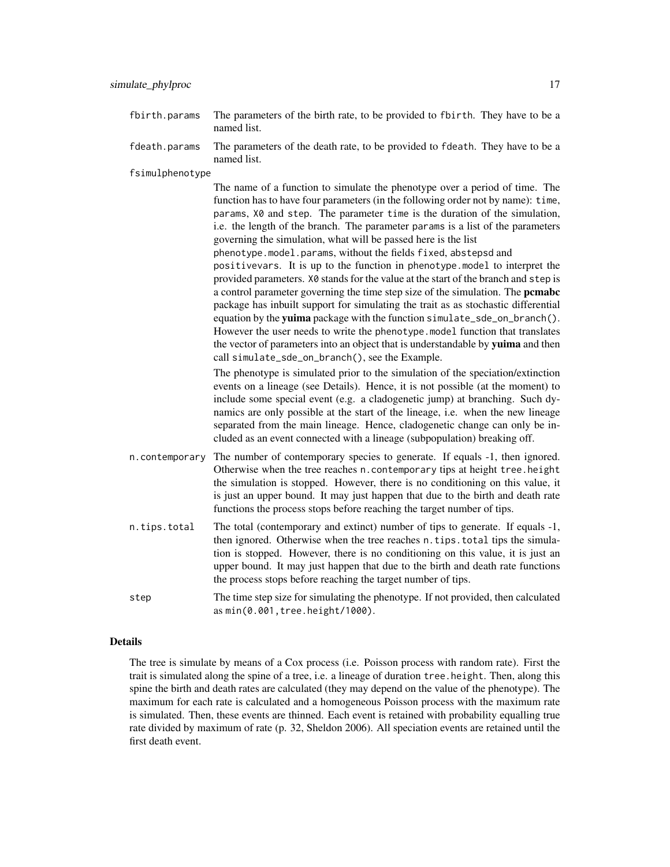- fbirth.params The parameters of the birth rate, to be provided to fbirth. They have to be a named list.
- fdeath.params The parameters of the death rate, to be provided to fdeath. They have to be a named list.

fsimulphenotype

The name of a function to simulate the phenotype over a period of time. The function has to have four parameters (in the following order not by name): time, params, X0 and step. The parameter time is the duration of the simulation, i.e. the length of the branch. The parameter params is a list of the parameters governing the simulation, what will be passed here is the list phenotype.model.params, without the fields fixed, abstepsd and positivevars. It is up to the function in phenotype.model to interpret the provided parameters. X0 stands for the value at the start of the branch and step is a control parameter governing the time step size of the simulation. The pcmabc package has inbuilt support for simulating the trait as as stochastic differential equation by the yuima package with the function simulate\_sde\_on\_branch(). However the user needs to write the phenotype.model function that translates the vector of parameters into an object that is understandable by yuima and then call simulate\_sde\_on\_branch(), see the Example.

The phenotype is simulated prior to the simulation of the speciation/extinction events on a lineage (see Details). Hence, it is not possible (at the moment) to include some special event (e.g. a cladogenetic jump) at branching. Such dynamics are only possible at the start of the lineage, i.e. when the new lineage separated from the main lineage. Hence, cladogenetic change can only be included as an event connected with a lineage (subpopulation) breaking off.

- n.contemporary The number of contemporary species to generate. If equals -1, then ignored. Otherwise when the tree reaches n.contemporary tips at height tree.height the simulation is stopped. However, there is no conditioning on this value, it is just an upper bound. It may just happen that due to the birth and death rate functions the process stops before reaching the target number of tips.
- n.tips.total The total (contemporary and extinct) number of tips to generate. If equals -1, then ignored. Otherwise when the tree reaches n.tips.total tips the simulation is stopped. However, there is no conditioning on this value, it is just an upper bound. It may just happen that due to the birth and death rate functions the process stops before reaching the target number of tips.
- step The time step size for simulating the phenotype. If not provided, then calculated as min(0.001,tree.height/1000).

#### Details

The tree is simulate by means of a Cox process (i.e. Poisson process with random rate). First the trait is simulated along the spine of a tree, i.e. a lineage of duration tree.height. Then, along this spine the birth and death rates are calculated (they may depend on the value of the phenotype). The maximum for each rate is calculated and a homogeneous Poisson process with the maximum rate is simulated. Then, these events are thinned. Each event is retained with probability equalling true rate divided by maximum of rate (p. 32, Sheldon 2006). All speciation events are retained until the first death event.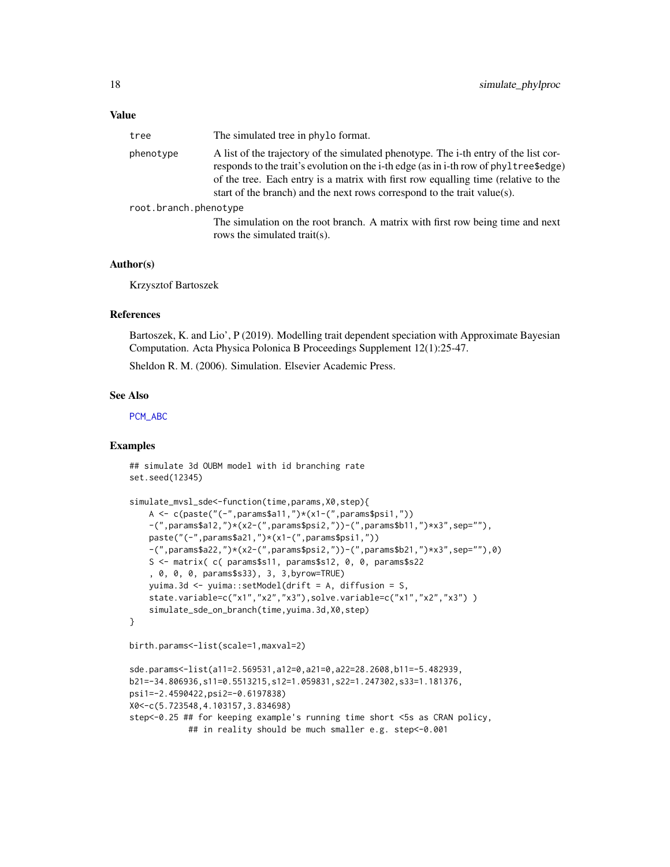<span id="page-17-0"></span>

| tree                  | The simulated tree in phylo format.                                                                                                                                                                                                                                                                                                             |
|-----------------------|-------------------------------------------------------------------------------------------------------------------------------------------------------------------------------------------------------------------------------------------------------------------------------------------------------------------------------------------------|
| phenotype             | A list of the trajectory of the simulated phenotype. The i-th entry of the list cor-<br>responds to the trait's evolution on the i-th edge (as in i-th row of phyltree\$edge)<br>of the tree. Each entry is a matrix with first row equalling time (relative to the<br>start of the branch) and the next rows correspond to the trait value(s). |
| root.branch.phenotype |                                                                                                                                                                                                                                                                                                                                                 |
|                       | The simulation on the root branch. A matrix with first row being time and next<br>rows the simulated trait(s).                                                                                                                                                                                                                                  |

#### Author(s)

Krzysztof Bartoszek

#### References

Bartoszek, K. and Lio', P (2019). Modelling trait dependent speciation with Approximate Bayesian Computation. Acta Physica Polonica B Proceedings Supplement 12(1):25-47.

Sheldon R. M. (2006). Simulation. Elsevier Academic Press.

#### See Also

[PCM\\_ABC](#page-6-1)

#### Examples

## simulate 3d OUBM model with id branching rate set.seed(12345)

```
simulate_mvsl_sde<-function(time,params,X0,step){
    A \leq c(paste("(-",params$a11,")*(x1-(",params$psi1,"))
    -(",params$a12,")*(x2-(",params$psi2,"))-(",params$b11,")*x3",sep=""),
    paste("(-",params$a21,")*(x1-(",params$psi1,"))
    -(",params$a22,")*(x2-(",params$psi2,"))-(",params$b21,")*x3",sep=""),0)
    S <- matrix( c( params$s11, params$s12, 0, 0, params$s22
    , 0, 0, 0, params$s33), 3, 3,byrow=TRUE)
   yuima.3d <- yuima::setModel(drift = A, diffusion = S,
    state.variable=c("x1","x2","x3"),solve.variable=c("x1","x2","x3"))
    simulate_sde_on_branch(time,yuima.3d,X0,step)
}
birth.params<-list(scale=1,maxval=2)
sde.params<-list(a11=2.569531,a12=0,a21=0,a22=28.2608,b11=-5.482939,
b21=-34.806936,s11=0.5513215,s12=1.059831,s22=1.247302,s33=1.181376,
psi1=-2.4590422,psi2=-0.6197838)
X0<-c(5.723548,4.103157,3.834698)
step<-0.25 ## for keeping example's running time short <5s as CRAN policy,
            ## in reality should be much smaller e.g. step<-0.001
```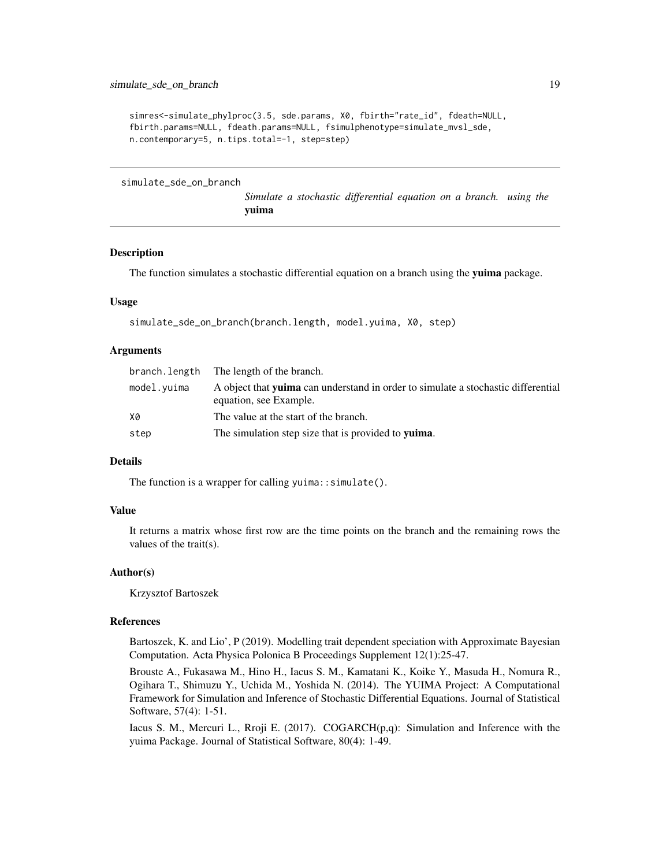```
simres<-simulate_phylproc(3.5, sde.params, X0, fbirth="rate_id", fdeath=NULL,
fbirth.params=NULL, fdeath.params=NULL, fsimulphenotype=simulate_mvsl_sde,
n.contemporary=5, n.tips.total=-1, step=step)
```
<span id="page-18-1"></span>simulate\_sde\_on\_branch

*Simulate a stochastic differential equation on a branch. using the* yuima

#### Description

The function simulates a stochastic differential equation on a branch using the yuima package.

#### Usage

simulate\_sde\_on\_branch(branch.length, model.yuima, X0, step)

#### **Arguments**

|             | branch. length The length of the branch.                                                                           |
|-------------|--------------------------------------------------------------------------------------------------------------------|
| model.yuima | A object that <b>vuima</b> can understand in order to simulate a stochastic differential<br>equation, see Example. |
| X0          | The value at the start of the branch.                                                                              |
| step        | The simulation step size that is provided to <b>vuima</b> .                                                        |

#### Details

The function is a wrapper for calling yuima:: simulate().

#### Value

It returns a matrix whose first row are the time points on the branch and the remaining rows the values of the trait(s).

#### Author(s)

Krzysztof Bartoszek

#### References

Bartoszek, K. and Lio', P (2019). Modelling trait dependent speciation with Approximate Bayesian Computation. Acta Physica Polonica B Proceedings Supplement 12(1):25-47.

Brouste A., Fukasawa M., Hino H., Iacus S. M., Kamatani K., Koike Y., Masuda H., Nomura R., Ogihara T., Shimuzu Y., Uchida M., Yoshida N. (2014). The YUIMA Project: A Computational Framework for Simulation and Inference of Stochastic Differential Equations. Journal of Statistical Software, 57(4): 1-51.

Iacus S. M., Mercuri L., Rroji E.  $(2017)$ . COGARCH $(p,q)$ : Simulation and Inference with the yuima Package. Journal of Statistical Software, 80(4): 1-49.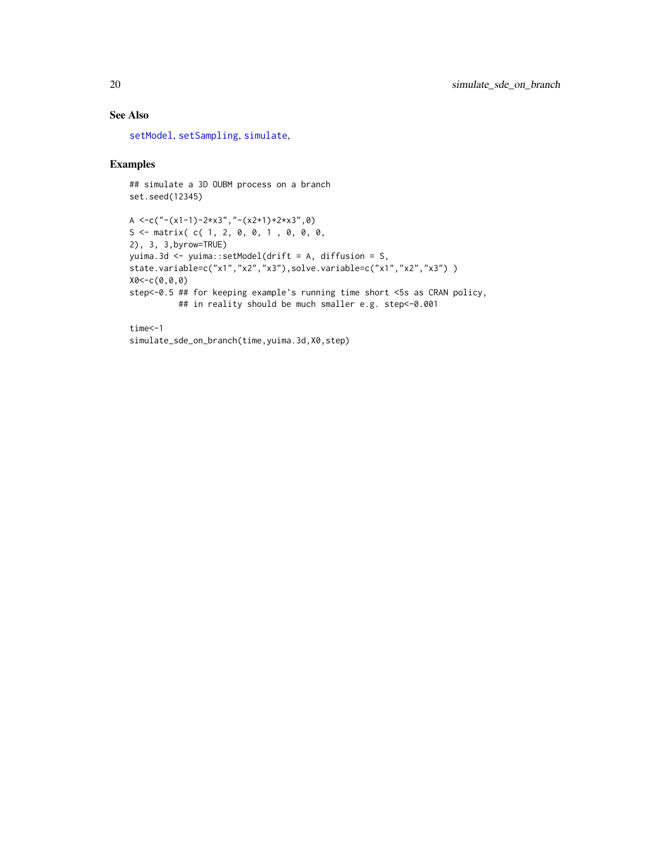#### See Also

[setModel](#page-0-0), [setSampling](#page-0-0), [simulate](#page-0-0),

#### Examples

```
## simulate a 3D OUBM process on a branch
set.seed(12345)
```

```
A \langle -c("-(x1-1)-2*x3","-(x2+1)+2*x3",0)
S \leq matrix( c( 1, 2, 0, 0, 1, 0, 0, 0,
2), 3, 3,byrow=TRUE)
yuima.3d <- yuima::setModel(drift = A, diffusion = S,
state.variable=c("x1","x2","x3"),solve.variable=c("x1","x2","x3") )
X0<-c(0,0,0)
step<-0.5 ## for keeping example's running time short <5s as CRAN policy,
          ## in reality should be much smaller e.g. step<-0.001
```

```
time<-1
simulate_sde_on_branch(time, yuima.3d, X0, step)
```
<span id="page-19-0"></span>